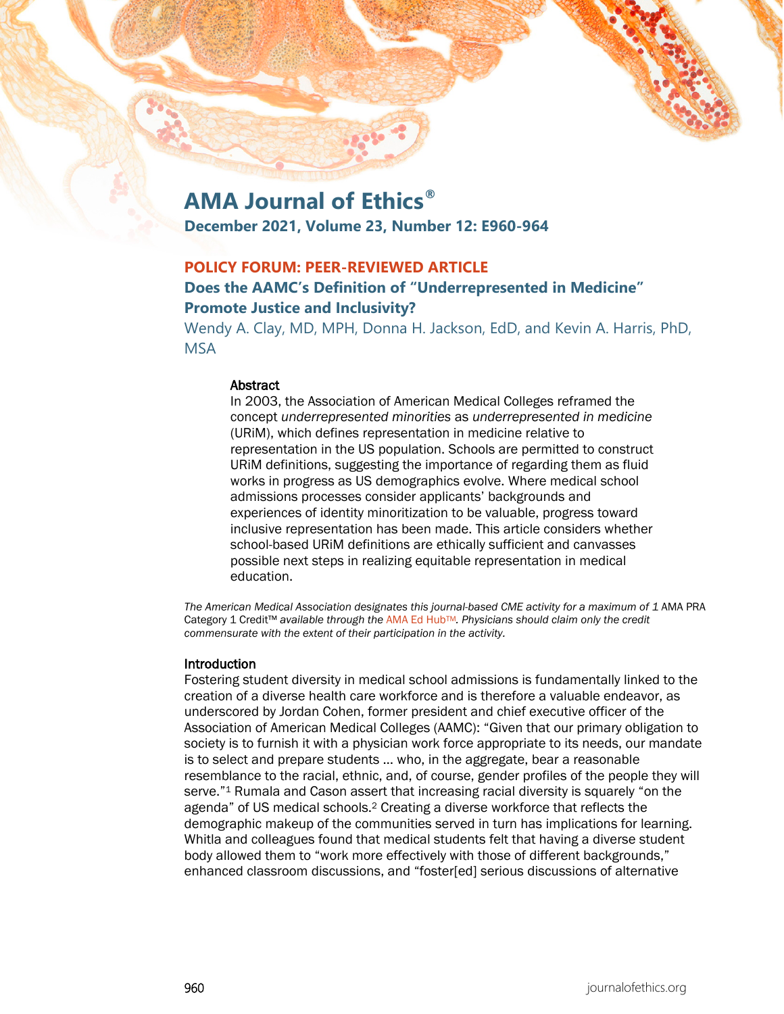# **AMA Journal of Ethics®**

**December 2021, Volume 23, Number 12: E960-964**

# **POLICY FORUM: PEER-REVIEWED ARTICLE**

# **Does the AAMC's Definition of "Underrepresented in Medicine" Promote Justice and Inclusivity?**

Wendy A. Clay, MD, MPH, Donna H. Jackson, EdD, and Kevin A. Harris, PhD, MSA

#### Abstract

In 2003, the Association of American Medical Colleges reframed the concept *underrepresented minorities* as *underrepresented in medicine* (URiM), which defines representation in medicine relative to representation in the US population. Schools are permitted to construct URiM definitions, suggesting the importance of regarding them as fluid works in progress as US demographics evolve. Where medical school admissions processes consider applicants' backgrounds and experiences of identity minoritization to be valuable, progress toward inclusive representation has been made. This article considers whether school-based URiM definitions are ethically sufficient and canvasses possible next steps in realizing equitable representation in medical education.

The American Medical Association designates this journal-based CME activity for a maximum of 1 AMA PRA Category 1 Credit™ *available through the* [AMA Ed HubTM](https://edhub.ama-assn.org/ama-journal-of-ethics/module/2786421)*. Physicians should claim only the credit commensurate with the extent of their participation in the activity.*

## Introduction

Fostering student diversity in medical school admissions is fundamentally linked to the creation of a diverse health care workforce and is therefore a valuable endeavor, as underscored by Jordan Cohen, former president and chief executive officer of the Association of American Medical Colleges (AAMC): "Given that our primary obligation to society is to furnish it with a physician work force appropriate to its needs, our mandate is to select and prepare students … who, in the aggregate, bear a reasonable resemblance to the racial, ethnic, and, of course, gender profiles of the people they will serve."1 Rumala and Cason assert that increasing racial diversity is squarely "on the agenda" of US medical schools.2 Creating a diverse workforce that reflects the demographic makeup of the communities served in turn has implications for learning. Whitla and colleagues found that medical students felt that having a diverse student body allowed them to "work more effectively with those of different backgrounds," enhanced classroom discussions, and "foster[ed] serious discussions of alternative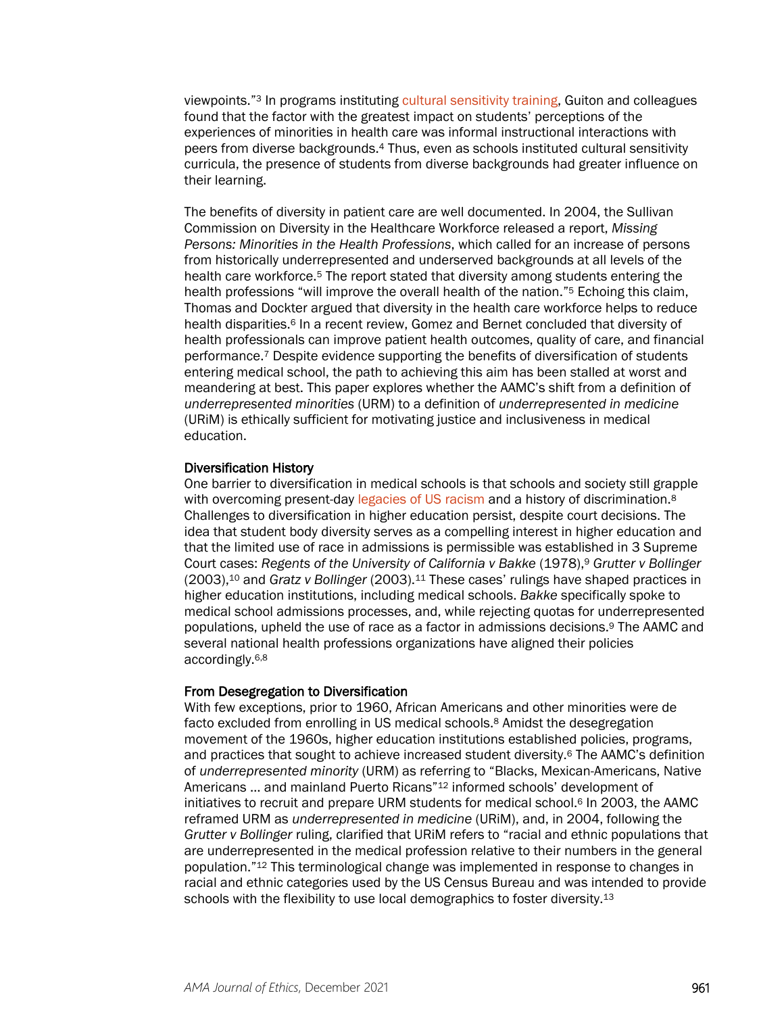viewpoints."3 In programs instituting [cultural sensitivity training,](https://journalofethics.ama-assn.org/article/do-international-experiences-develop-cultural-sensitivity-and-desire-multicultural-practice-among/2006-12) Guiton and colleagues found that the factor with the greatest impact on students' perceptions of the experiences of minorities in health care was informal instructional interactions with peers from diverse backgrounds.4 Thus, even as schools instituted cultural sensitivity curricula, the presence of students from diverse backgrounds had greater influence on their learning.

The benefits of diversity in patient care are well documented. In 2004, the Sullivan Commission on Diversity in the Healthcare Workforce released a report, *Missing Persons: Minorities in the Health Professions*, which called for an increase of persons from historically underrepresented and underserved backgrounds at all levels of the health care workforce.<sup>5</sup> The report stated that diversity among students entering the health professions "will improve the overall health of the nation."<sup>5</sup> Echoing this claim, Thomas and Dockter argued that diversity in the health care workforce helps to reduce health disparities.<sup>6</sup> In a recent review, Gomez and Bernet concluded that diversity of health professionals can improve patient health outcomes, quality of care, and financial performance.7 Despite evidence supporting the benefits of diversification of students entering medical school, the path to achieving this aim has been stalled at worst and meandering at best. This paper explores whether the AAMC's shift from a definition of *underrepresented minorities* (URM) to a definition of *underrepresented in medicine* (URiM) is ethically sufficient for motivating justice and inclusiveness in medical education.

#### Diversification History

One barrier to diversification in medical schools is that schools and society still grapple with overcoming present-day [legacies of US racism](https://journalofethics.ama-assn.org/article/how-should-we-respond-racist-legacies-health-professions-education-originating-flexner-report/2021-03) and a history of discrimination.<sup>8</sup> Challenges to diversification in higher education persist, despite court decisions. The idea that student body diversity serves as a compelling interest in higher education and that the limited use of race in admissions is permissible was established in 3 Supreme Court cases: *Regents of the University of California v Bakke* (1978),9 *Grutter v Bollinger*  (2003),10 and *Gratz v Bollinger* (2003).11 These cases' rulings have shaped practices in higher education institutions, including medical schools. *Bakke* specifically spoke to medical school admissions processes, and, while rejecting quotas for underrepresented populations, upheld the use of race as a factor in admissions decisions.9 The AAMC and several national health professions organizations have aligned their policies accordingly.6,8

#### From Desegregation to Diversification

With few exceptions, prior to 1960, African Americans and other minorities were de facto excluded from enrolling in US medical schools.<sup>8</sup> Amidst the desegregation movement of the 1960s, higher education institutions established policies, programs, and practices that sought to achieve increased student diversity.6 The AAMC's definition of *underrepresented minority* (URM) as referring to "Blacks, Mexican-Americans, Native Americans ... and mainland Puerto Ricans"<sup>12</sup> informed schools' development of initiatives to recruit and prepare URM students for medical school.6 In 2003, the AAMC reframed URM as *underrepresented in medicine* (URiM), and, in 2004, following the *Grutter v Bollinger* ruling, clarified that URiM refers to "racial and ethnic populations that are underrepresented in the medical profession relative to their numbers in the general population."12 This terminological change was implemented in response to changes in racial and ethnic categories used by the US Census Bureau and was intended to provide schools with the flexibility to use local demographics to foster diversity.<sup>13</sup>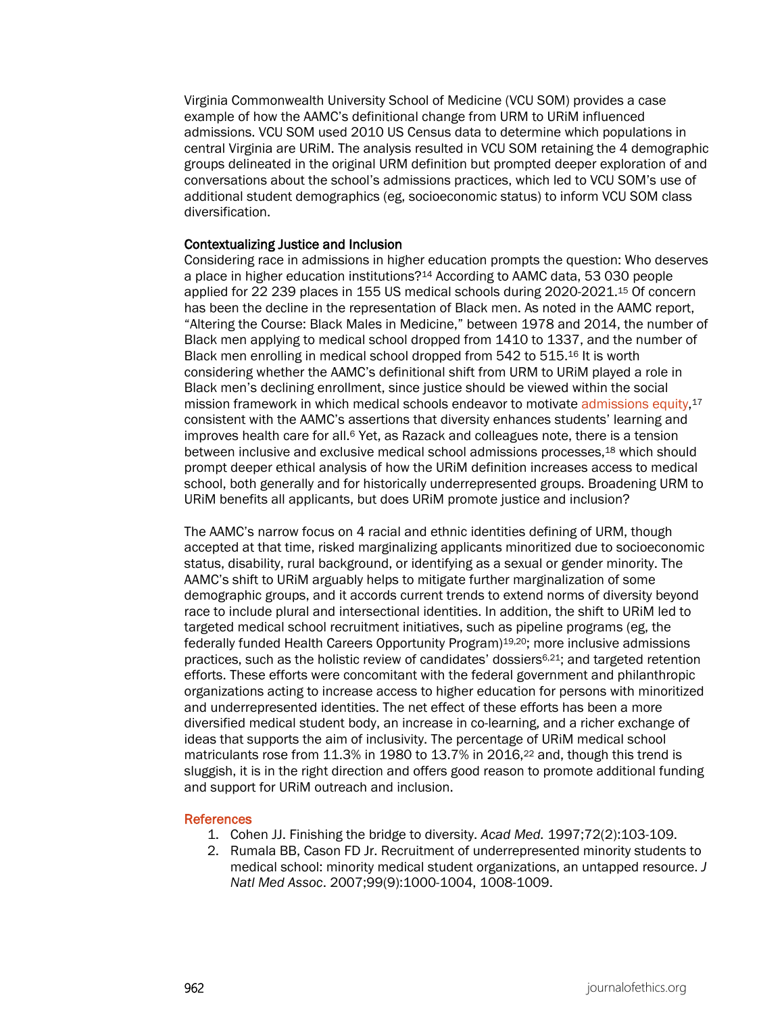Virginia Commonwealth University School of Medicine (VCU SOM) provides a case example of how the AAMC's definitional change from URM to URiM influenced admissions. VCU SOM used 2010 US Census data to determine which populations in central Virginia are URiM. The analysis resulted in VCU SOM retaining the 4 demographic groups delineated in the original URM definition but prompted deeper exploration of and conversations about the school's admissions practices, which led to VCU SOM's use of additional student demographics (eg, socioeconomic status) to inform VCU SOM class diversification.

#### Contextualizing Justice and Inclusion

Considering race in admissions in higher education prompts the question: Who deserves a place in higher education institutions?14 According to AAMC data, 53 030 people applied for 22 239 places in 155 US medical schools during 2020-2021.15 Of concern has been the decline in the representation of Black men. As noted in the AAMC report, "Altering the Course: Black Males in Medicine," between 1978 and 2014, the number of Black men applying to medical school dropped from 1410 to 1337, and the number of Black men enrolling in medical school dropped from 542 to 515.16 It is worth considering whether the AAMC's definitional shift from URM to URiM played a role in Black men's declining enrollment, since justice should be viewed within the social mission framework in which medical schools endeavor to motivate [admissions equity,](https://journalofethics.ama-assn.org/article/making-merit-just-medical-school-admissions/2021-03)<sup>17</sup> consistent with the AAMC's assertions that diversity enhances students' learning and improves health care for all.6 Yet, as Razack and colleagues note, there is a tension between inclusive and exclusive medical school admissions processes,18 which should prompt deeper ethical analysis of how the URiM definition increases access to medical school, both generally and for historically underrepresented groups. Broadening URM to URiM benefits all applicants, but does URiM promote justice and inclusion?

The AAMC's narrow focus on 4 racial and ethnic identities defining of URM, though accepted at that time, risked marginalizing applicants minoritized due to socioeconomic status, disability, rural background, or identifying as a sexual or gender minority. The AAMC's shift to URiM arguably helps to mitigate further marginalization of some demographic groups, and it accords current trends to extend norms of diversity beyond race to include plural and intersectional identities. In addition, the shift to URiM led to targeted medical school recruitment initiatives, such as pipeline programs (eg, the federally funded Health Careers Opportunity Program)19,20; more inclusive admissions practices, such as the holistic review of candidates' dossiers6,21; and targeted retention efforts. These efforts were concomitant with the federal government and philanthropic organizations acting to increase access to higher education for persons with minoritized and underrepresented identities. The net effect of these efforts has been a more diversified medical student body, an increase in co-learning, and a richer exchange of ideas that supports the aim of inclusivity. The percentage of URiM medical school matriculants rose from 11.3% in 1980 to 13.7% in 2016,22 and, though this trend is sluggish, it is in the right direction and offers good reason to promote additional funding and support for URiM outreach and inclusion.

#### References

- 1. Cohen JJ. Finishing the bridge to diversity. *Acad Med.* 1997;72(2):103-109.
- 2. Rumala BB, Cason FD Jr. Recruitment of underrepresented minority students to medical school: minority medical student organizations, an untapped resource. *J Natl Med Assoc*. 2007;99(9):1000-1004, 1008-1009.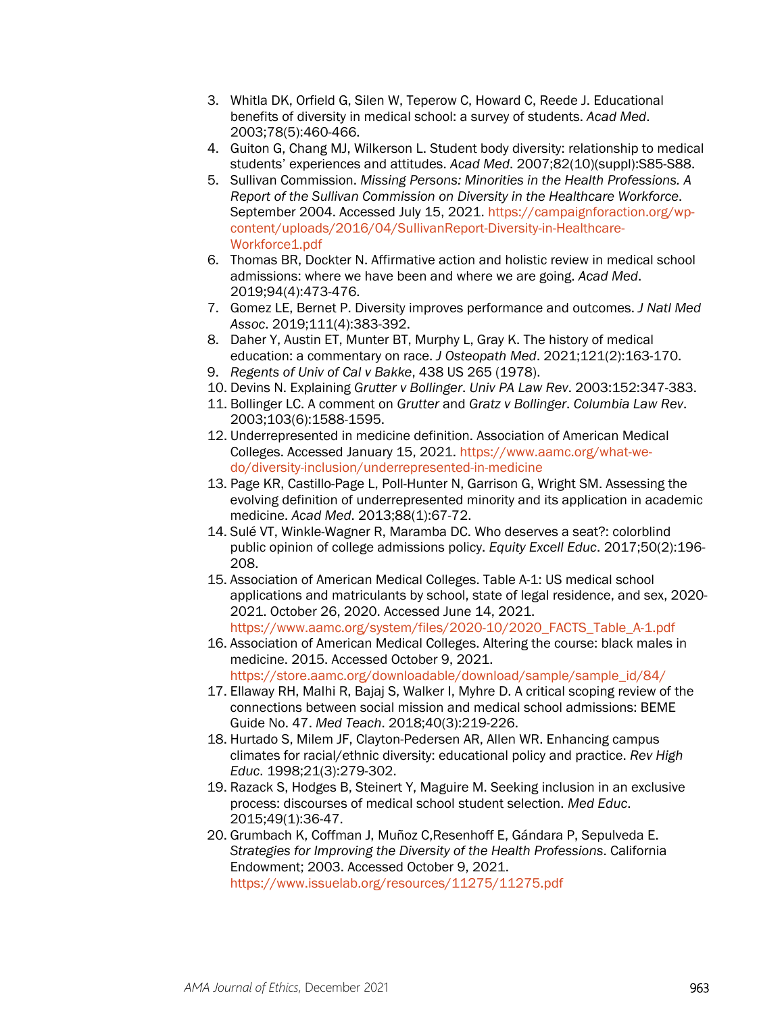- 3. Whitla DK, Orfield G, Silen W, Teperow C, Howard C, Reede J. Educational benefits of diversity in medical school: a survey of students. *Acad Med*. 2003;78(5):460-466.
- 4. Guiton G, Chang MJ, Wilkerson L. Student body diversity: relationship to medical students' experiences and attitudes. *Acad Med*. 2007;82(10)(suppl):S85-S88.
- 5. Sullivan Commission. *Missing Persons: Minorities in the Health Professions. A Report of the Sullivan Commission on Diversity in the Healthcare Workforce*. September 2004. Accessed July 15, 2021. [https://campaignforaction.org/wp](https://campaignforaction.org/wp-content/uploads/2016/04/SullivanReport-Diversity-in-Healthcare-Workforce1.pdf)[content/uploads/2016/04/SullivanReport-Diversity-in-Healthcare-](https://campaignforaction.org/wp-content/uploads/2016/04/SullivanReport-Diversity-in-Healthcare-Workforce1.pdf)[Workforce1.pdf](https://campaignforaction.org/wp-content/uploads/2016/04/SullivanReport-Diversity-in-Healthcare-Workforce1.pdf)
- 6. Thomas BR, Dockter N. Affirmative action and holistic review in medical school admissions: where we have been and where we are going. *Acad Med*. 2019;94(4):473-476.
- 7. Gomez LE, Bernet P. Diversity improves performance and outcomes. *J Natl Med Assoc*. 2019;111(4):383-392.
- 8. Daher Y, Austin ET, Munter BT, Murphy L, Gray K. The history of medical education: a commentary on race. *J Osteopath Med*. 2021;121(2):163-170.
- 9. *Regents of Univ of Cal v Bakke*, 438 US 265 (1978).
- 10. Devins N. Explaining *Grutter v Bollinger*. *Univ PA Law Rev*. 2003:152:347-383.
- 11. Bollinger LC. A comment on *Grutter* and *Gratz v Bollinger*. *Columbia Law Rev*. 2003;103(6):1588-1595.
- 12. Underrepresented in medicine definition. Association of American Medical Colleges. Accessed January 15, 2021. [https://www.aamc.org/what-we](https://www.aamc.org/what-we-do/diversity-inclusion/underrepresented-in-medicine)[do/diversity-inclusion/underrepresented-in-medicine](https://www.aamc.org/what-we-do/diversity-inclusion/underrepresented-in-medicine)
- 13. Page KR, Castillo-Page L, Poll-Hunter N, Garrison G, Wright SM. Assessing the evolving definition of underrepresented minority and its application in academic medicine. *Acad Med*. 2013;88(1):67-72.
- 14. Sulé VT, Winkle-Wagner R, Maramba DC. Who deserves a seat?: colorblind public opinion of college admissions policy. *Equity Excell Educ*. 2017;50(2):196- 208.
- 15. Association of American Medical Colleges. Table A-1: US medical school applications and matriculants by school, state of legal residence, and sex, 2020- 2021. October 26, 2020. Accessed June 14, 2021. [https://www.aamc.org/system/files/2020-10/2020\\_FACTS\\_Table\\_A-1.pdf](https://www.aamc.org/system/files/2020-10/2020_FACTS_Table_A-1.pdf)
- 16. Association of American Medical Colleges. Altering the course: black males in medicine. 2015. Accessed October 9, 2021. [https://store.aamc.org/downloadable/download/sample/sample\\_id/84/](https://store.aamc.org/downloadable/download/sample/sample_id/84/)
- 17. Ellaway RH, Malhi R, Bajaj S, Walker I, Myhre D. A critical scoping review of the connections between social mission and medical school admissions: BEME Guide No. 47. *Med Teach*. 2018;40(3):219-226.
- 18. Hurtado S, Milem JF, Clayton-Pedersen AR, Allen WR. Enhancing campus climates for racial/ethnic diversity: educational policy and practice. *Rev High Educ*. 1998;21(3):279-302.
- 19. Razack S, Hodges B, Steinert Y, Maguire M. Seeking inclusion in an exclusive process: discourses of medical school student selection. *Med Educ*. 2015;49(1):36-47.
- 20. Grumbach K, Coffman J, Muñoz C,Resenhoff E, Gándara P, Sepulveda E. *Strategies for Improving the Diversity of the Health Professions*. California Endowment; 2003. Accessed October 9, 2021. <https://www.issuelab.org/resources/11275/11275.pdf>